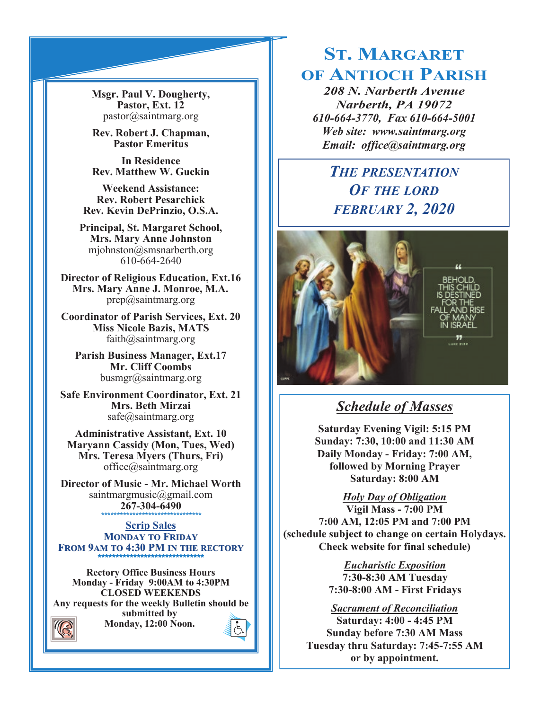**Msgr. Paul V. Dougherty, Pastor, Ext. 12** pastor@saintmarg.org

**Rev. Robert J. Chapman, Pastor Emeritus**

**In Residence Rev. Matthew W. Guckin**

**Weekend Assistance: Rev. Robert Pesarchick Rev. Kevin DePrinzio, O.S.A.**

**Principal, St. Margaret School, Mrs. Mary Anne Johnston**  mjohnston@smsnarberth.org 610-664-2640

**Director of Religious Education, Ext.16 Mrs. Mary Anne J. Monroe, M.A.** prep@saintmarg.org

**Coordinator of Parish Services, Ext. 20 Miss Nicole Bazis, MATS** faith@saintmarg.org

**Parish Business Manager, Ext.17 Mr. Cliff Coombs** busmgr@saintmarg.org

**Safe Environment Coordinator, Ext. 21 Mrs. Beth Mirzai** safe@saintmarg.org

**Administrative Assistant, Ext. 10 Maryann Cassidy (Mon, Tues, Wed) Mrs. Teresa Myers (Thurs, Fri)** office@saintmarg.org

**Director of Music - Mr. Michael Worth** saintmargmusic@gmail.com **267-304-6490** *\*\*\*\*\*\*\*\*\*\*\*\*\*\*\*\*\*\*\*\*\*\*\*\*\*\*\*\*\*\*\*\**

**Scrip Sales MONDAY TO FRIDAY FROM 9AM TO 4:30 PM IN THE RECTORY \*\*\*\*\*\*\*\*\*\*\*\*\*\*\*\*\*\*\*\*\*\*\*\*\*\*\*\*\*\*** 

**Rectory Office Business Hours Monday - Friday 9:00AM to 4:30PM CLOSED WEEKENDS Any requests for the weekly Bulletin should be submitted by Monday, 12:00 Noon.** 



# **ST. MARGARET OF ANTIOCH PARISH**

*208 N. Narberth Avenue Narberth, PA 19072 610-664-3770, Fax 610-664-5001 Web site: www.saintmarg.org Email: office@saintmarg.org*

# *THE PRESENTATION OF THE LORD FEBRUARY 2, 2020*



## *Schedule of Masses*

**Saturday Evening Vigil: 5:15 PM Sunday: 7:30, 10:00 and 11:30 AM Daily Monday - Friday: 7:00 AM, followed by Morning Prayer Saturday: 8:00 AM**

*Holy Day of Obligation* **Vigil Mass - 7:00 PM 7:00 AM, 12:05 PM and 7:00 PM (schedule subject to change on certain Holydays.** 

**Check website for final schedule)**

*Eucharistic Exposition*  **7:30-8:30 AM Tuesday 7:30-8:00 AM - First Fridays**

*Sacrament of Reconciliation* **Saturday: 4:00 - 4:45 PM Sunday before 7:30 AM Mass Tuesday thru Saturday: 7:45-7:55 AM or by appointment.**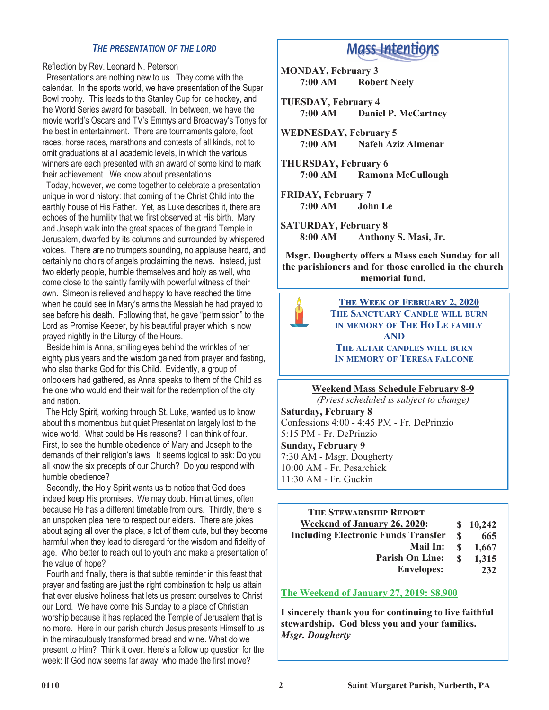#### *THE PRESENTATION OF THE LORD*

Reflection by Rev. Leonard N. Peterson

 Presentations are nothing new to us. They come with the calendar. In the sports world, we have presentation of the Super Bowl trophy. This leads to the Stanley Cup for ice hockey, and the World Series award for baseball. In between, we have the movie world's Oscars and TV's Emmys and Broadway's Tonys for the best in entertainment. There are tournaments galore, foot races, horse races, marathons and contests of all kinds, not to omit graduations at all academic levels, in which the various winners are each presented with an award of some kind to mark their achievement. We know about presentations.

 Today, however, we come together to celebrate a presentation unique in world history: that coming of the Christ Child into the earthly house of His Father. Yet, as Luke describes it, there are echoes of the humility that we first observed at His birth. Mary and Joseph walk into the great spaces of the grand Temple in Jerusalem, dwarfed by its columns and surrounded by whispered voices. There are no trumpets sounding, no applause heard, and certainly no choirs of angels proclaiming the news. Instead, just two elderly people, humble themselves and holy as well, who come close to the saintly family with powerful witness of their own. Simeon is relieved and happy to have reached the time when he could see in Mary's arms the Messiah he had prayed to see before his death. Following that, he gave "permission" to the Lord as Promise Keeper, by his beautiful prayer which is now prayed nightly in the Liturgy of the Hours.

 Beside him is Anna, smiling eyes behind the wrinkles of her eighty plus years and the wisdom gained from prayer and fasting, who also thanks God for this Child. Evidently, a group of onlookers had gathered, as Anna speaks to them of the Child as the one who would end their wait for the redemption of the city and nation.

 The Holy Spirit, working through St. Luke, wanted us to know about this momentous but quiet Presentation largely lost to the wide world. What could be His reasons? I can think of four. First, to see the humble obedience of Mary and Joseph to the demands of their religion's laws. It seems logical to ask: Do you all know the six precepts of our Church? Do you respond with humble obedience?

 Secondly, the Holy Spirit wants us to notice that God does indeed keep His promises. We may doubt Him at times, often because He has a different timetable from ours. Thirdly, there is an unspoken plea here to respect our elders. There are jokes about aging all over the place, a lot of them cute, but they become harmful when they lead to disregard for the wisdom and fidelity of age. Who better to reach out to youth and make a presentation of the value of hope?

 Fourth and finally, there is that subtle reminder in this feast that prayer and fasting are just the right combination to help us attain that ever elusive holiness that lets us present ourselves to Christ our Lord. We have come this Sunday to a place of Christian worship because it has replaced the Temple of Jerusalem that is no more. Here in our parish church Jesus presents Himself to us in the miraculously transformed bread and wine. What do we present to Him? Think it over. Here's a follow up question for the week: If God now seems far away, who made the first move?

# **Mass Intentions**

- **MONDAY, February 3 7:00 AM Robert Neely**
- **TUESDAY, February 4 7:00 AM Daniel P. McCartney**
- **WEDNESDAY, February 5 Nafeh Aziz Almenar**
- **THURSDAY, February 6 7:00 AM Ramona McCullough**
- **FRIDAY, February 7 7:00 AM John Le**
- **SATURDAY, February 8 8:00 AM Anthony S. Masi, Jr.**

**Msgr. Dougherty offers a Mass each Sunday for all the parishioners and for those enrolled in the church memorial fund.**



**THE WEEK OF FEBRUARY 2, 2020 THE SANCTUARY CANDLE WILL BURN IN MEMORY OF THE HO LE FAMILY AND THE ALTAR CANDLES WILL BURN IN MEMORY OF TERESA FALCONE**

#### **Weekend Mass Schedule February 8-9**

*(Priest scheduled is subject to change)* **Saturday, February 8** Confessions 4:00 - 4:45 PM - Fr. DePrinzio 5:15 PM - Fr. DePrinzio **Sunday, February 9** 7:30 AM - Msgr. Dougherty 10:00 AM - Fr. Pesarchick 11:30 AM - Fr. Guckin

#### **THE STEWARDSHIP REPORT Weekend of January 26, 2020: Including Electronic Funds Transfer Mail In: Parish On Line: Envelopes: \$ 10,242 \$ 665 \$ 1,667 \$ 1,315 232**

#### **The Weekend of January 27, 2019: \$8,900**

**I sincerely thank you for continuing to live faithful stewardship. God bless you and your families.** *Msgr. Dougherty*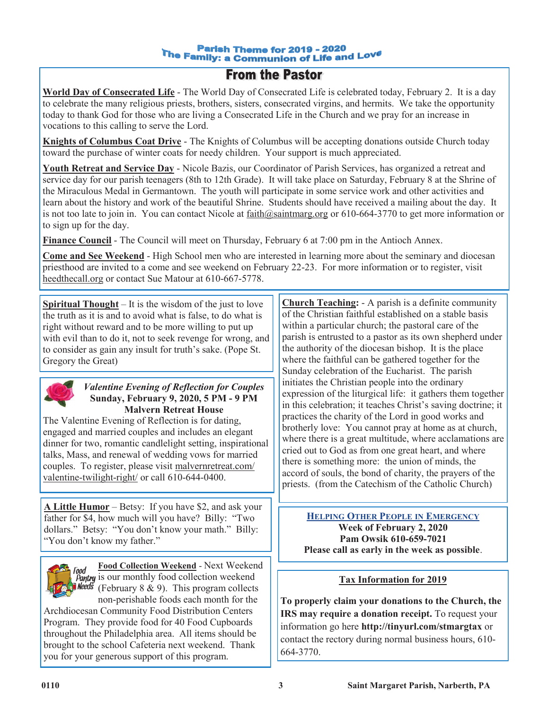## **From the Pastor**

**World Day of Consecrated Life** - The World Day of Consecrated Life is celebrated today, February 2. It is a day to celebrate the many religious priests, brothers, sisters, consecrated virgins, and hermits. We take the opportunity today to thank God for those who are living a Consecrated Life in the Church and we pray for an increase in vocations to this calling to serve the Lord.

**Knights of Columbus Coat Drive** - The Knights of Columbus will be accepting donations outside Church today toward the purchase of winter coats for needy children. Your support is much appreciated.

**Youth Retreat and Service Day** - Nicole Bazis, our Coordinator of Parish Services, has organized a retreat and service day for our parish teenagers (8th to 12th Grade). It will take place on Saturday, February 8 at the Shrine of the Miraculous Medal in Germantown. The youth will participate in some service work and other activities and learn about the history and work of the beautiful Shrine. Students should have received a mailing about the day. It is not too late to join in. You can contact Nicole at faith@saintmarg.org or 610-664-3770 to get more information or to sign up for the day.

**Finance Council** - The Council will meet on Thursday, February 6 at 7:00 pm in the Antioch Annex.

**Come and See Weekend** - High School men who are interested in learning more about the seminary and diocesan priesthood are invited to a come and see weekend on February 22-23. For more information or to register, visit heedthecall.org or contact Sue Matour at 610-667-5778.

**Spiritual Thought** – It is the wisdom of the just to love the truth as it is and to avoid what is false, to do what is right without reward and to be more willing to put up with evil than to do it, not to seek revenge for wrong, and to consider as gain any insult for truth's sake. (Pope St. Gregory the Great)



#### *Valentine Evening of Reflection for Couples* **Sunday, February 9, 2020, 5 PM - 9 PM Malvern Retreat House**

The Valentine Evening of Reflection is for dating, engaged and married couples and includes an elegant dinner for two, romantic candlelight setting, inspirational talks, Mass, and renewal of wedding vows for married couples. To register, please visit malvernretreat.com/ valentine-twilight-right/ or call 610-644-0400.

**A Little Humor** – Betsy: If you have \$2, and ask your father for \$4, how much will you have? Billy: "Two dollars." Betsy: "You don't know your math." Billy: "You don't know my father."



**Food Collection Weekend** - Next Weekend **Pantry** is our monthly food collection weekend **Needs** (February 8 & 9). This program collects non-perishable foods each month for the

Archdiocesan Community Food Distribution Centers Program. They provide food for 40 Food Cupboards throughout the Philadelphia area. All items should be brought to the school Cafeteria next weekend. Thank you for your generous support of this program.

**Church Teaching:** - A parish is a definite community of the Christian faithful established on a stable basis within a particular church; the pastoral care of the parish is entrusted to a pastor as its own shepherd under the authority of the diocesan bishop. It is the place where the faithful can be gathered together for the Sunday celebration of the Eucharist. The parish initiates the Christian people into the ordinary expression of the liturgical life: it gathers them together in this celebration; it teaches Christ's saving doctrine; it practices the charity of the Lord in good works and brotherly love: You cannot pray at home as at church, where there is a great multitude, where acclamations are cried out to God as from one great heart, and where there is something more: the union of minds, the accord of souls, the bond of charity, the prayers of the priests. (from the Catechism of the Catholic Church)

**HELPING OTHER PEOPLE IN EMERGENCY Week of February 2, 2020 Pam Owsik 610-659-7021 Please call as early in the week as possible**.

#### **Tax Information for 2019**

**To properly claim your donations to the Church, the IRS** may require a donation receipt. To request your information go here **http://tinyurl.com/stmargtax** or contact the rectory during normal business hours, 610- 664-3770.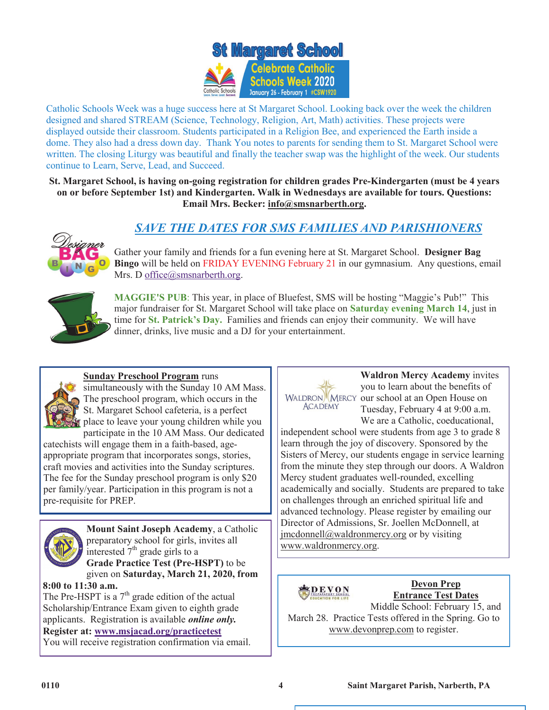

Catholic Schools Week was a huge success here at St Margaret School. Looking back over the week the children designed and shared STREAM (Science, Technology, Religion, Art, Math) activities. These projects were displayed outside their classroom. Students participated in a Religion Bee, and experienced the Earth inside a dome. They also had a dress down day. Thank You notes to parents for sending them to St. Margaret School were written. The closing Liturgy was beautiful and finally the teacher swap was the highlight of the week. Our students continue to Learn, Serve, Lead, and Succeed.

**St. Margaret School, is having on-going registration for children grades Pre-Kindergarten (must be 4 years on or before September 1st) and Kindergarten. Walk in Wednesdays are available for tours. Questions: Email Mrs. Becker: [info@smsnarberth.org.](mailto:info@smsnarberth.org)**

### *SAVE THE DATES FOR SMS FAMILIES AND PARISHIONERS*



Gather your family and friends for a fun evening here at St. Margaret School. **Designer Bag Bingo** will be held on FRIDAY EVENING February 21 in our gymnasium. Any questions, email Mrs. D [office@smsnarberth.org.](mailto:office@smsnarberth.org)



**MAGGIE'S PUB**: This year, in place of Bluefest, SMS will be hosting "Maggie's Pub!" This major fundraiser for St. Margaret School will take place on **Saturday evening March 14**, just in time for **St. Patrick's Day.** Families and friends can enjoy their community. We will have dinner, drinks, live music and a DJ for your entertainment.



**Sunday Preschool Program** runs

simultaneously with the Sunday 10 AM Mass. The preschool program, which occurs in the St. Margaret School cafeteria, is a perfect place to leave your young children while you participate in the 10 AM Mass. Our dedicated

catechists will engage them in a faith-based, ageappropriate program that incorporates songs, stories, craft movies and activities into the Sunday scriptures. The fee for the Sunday preschool program is only \$20 per family/year. Participation in this program is not a pre-requisite for PREP.



**Mount Saint Joseph Academy**, a Catholic preparatory school for girls, invites all interested  $7<sup>th</sup>$  grade girls to a **Grade Practice Test (Pre-HSPT)** to be

given on **Saturday, March 21, 2020, from 8:00 to 11:30 a.m.**

The Pre-HSPT is a  $7<sup>th</sup>$  grade edition of the actual Scholarship/Entrance Exam given to eighth grade applicants. Registration is available *online only.* **Register at: [www.msjacad.org/practicetest](http://www.msjacad.org/practicetest)** You will receive registration confirmation via email.



**Waldron Mercy Academy** invites you to learn about the benefits of WALDRON<sup>W</sup> MERCY our school at an Open House on Tuesday, February 4 at 9:00 a.m. We are a Catholic, coeducational,

independent school were students from age 3 to grade 8 learn through the joy of discovery. Sponsored by the Sisters of Mercy, our students engage in service learning from the minute they step through our doors. A Waldron Mercy student graduates well-rounded, excelling academically and socially. Students are prepared to take on challenges through an enriched spiritual life and advanced technology. Please register by emailing our Director of Admissions, Sr. Joellen McDonnell, at [jmcdonnell@waldronmercy.org](mailto:jmcdonnell@waldronmercy.org) or by visiting [www.waldronmercy.org.](http://www.waldronmercy.org)



**Devon Prep Entrance Test Dates**

Middle School: February 15, and March 28. Practice Tests offered in the Spring. Go to www.devonprep.com to register.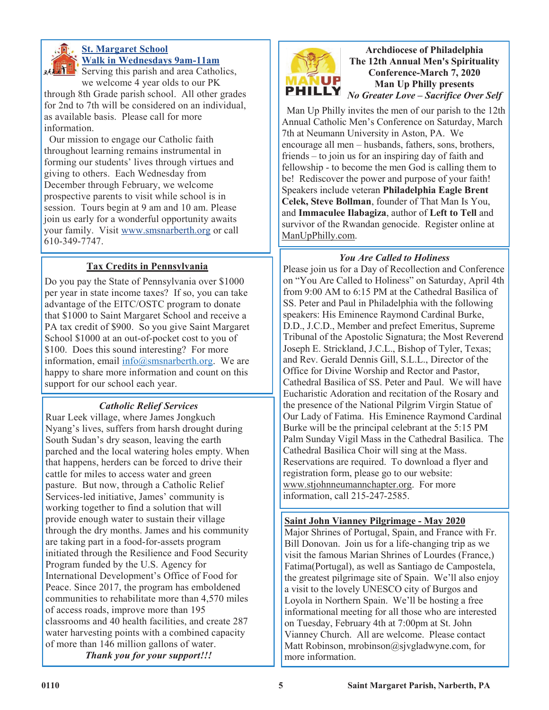

### **St. Margaret School Walk in Wednesdays 9am-11am**

**SERVICE:** Serving this parish and area Catholics, we welcome 4 year olds to our PK

through 8th Grade parish school. All other grades for 2nd to 7th will be considered on an individual, as available basis. Please call for more information.

 Our mission to engage our Catholic faith throughout learning remains instrumental in forming our students' lives through virtues and giving to others. Each Wednesday from December through February, we welcome prospective parents to visit while school is in session. Tours begin at 9 am and 10 am. Please join us early for a wonderful opportunity awaits your family. Visit [www.smsnarberth.org](http://www.smsnarberth.org/) or call 610-349-7747.

### **Tax Credits in Pennsylvania**

Do you pay the State of Pennsylvania over \$1000 per year in state income taxes? If so, you can take advantage of the EITC/OSTC program to donate that \$1000 to Saint Margaret School and receive a PA tax credit of \$900. So you give Saint Margaret School \$1000 at an out-of-pocket cost to you of \$100. Does this sound interesting? For more information, email  $info@smsnarberth.org$ . We are happy to share more information and count on this support for our school each year.

#### *Catholic Relief Services*

Ruar Leek village, where James Jongkuch Nyang's lives, suffers from harsh drought during South Sudan's dry season, leaving the earth parched and the local watering holes empty. When that happens, herders can be forced to drive their cattle for miles to access water and green pasture. But now, through a Catholic Relief Services-led initiative, James' community is working together to find a solution that will provide enough water to sustain their village through the dry months. James and his community are taking part in a food-for-assets program initiated through the Resilience and Food Security Program funded by the U.S. Agency for International Development's Office of Food for Peace. Since 2017, the program has emboldened communities to rehabilitate more than 4,570 miles of access roads, improve more than 195 classrooms and 40 health facilities, and create 287 water harvesting points with a combined capacity of more than 146 million gallons of water.

*Thank you for your support!!!*



**Archdiocese of Philadelphia The 12th Annual Men's Spirituality Conference-March 7, 2020 Man Up Philly presents**  *No Greater Love – Sacrifice Over Self*

 Man Up Philly invites the men of our parish to the 12th Annual Catholic Men's Conference on Saturday, March 7th at Neumann University in Aston, PA. We encourage all men – husbands, fathers, sons, brothers, friends – to join us for an inspiring day of faith and fellowship - to become the men God is calling them to be! Rediscover the power and purpose of your faith! Speakers include veteran **Philadelphia Eagle Brent Celek, Steve Bollman**, founder of That Man Is You, and **Immaculee Ilabagiza**, author of **Left to Tell** and survivor of the Rwandan genocide. Register online at ManUpPhilly.com.

#### *You Are Called to Holiness*

Please join us for a Day of Recollection and Conference on "You Are Called to Holiness" on Saturday, April 4th from 9:00 AM to 6:15 PM at the Cathedral Basilica of SS. Peter and Paul in Philadelphia with the following speakers: His Eminence Raymond Cardinal Burke, D.D., J.C.D., Member and prefect Emeritus, Supreme Tribunal of the Apostolic Signatura; the Most Reverend Joseph E. Strickland, J.C.L., Bishop of Tyler, Texas; and Rev. Gerald Dennis Gill, S.L.L., Director of the Office for Divine Worship and Rector and Pastor, Cathedral Basilica of SS. Peter and Paul. We will have Eucharistic Adoration and recitation of the Rosary and the presence of the National Pilgrim Virgin Statue of Our Lady of Fatima. His Eminence Raymond Cardinal Burke will be the principal celebrant at the 5:15 PM Palm Sunday Vigil Mass in the Cathedral Basilica. The Cathedral Basilica Choir will sing at the Mass. Reservations are required. To download a flyer and registration form, please go to our website: www.stjohnneumannchapter.org. For more information, call 215-247-2585.

#### **Saint John Vianney Pilgrimage - May 2020**

Major Shrines of Portugal, Spain, and France with Fr. Bill Donovan. Join us for a life-changing trip as we visit the famous Marian Shrines of Lourdes (France,) Fatima(Portugal), as well as Santiago de Campostela, the greatest pilgrimage site of Spain. We'll also enjoy a visit to the lovely UNESCO city of Burgos and Loyola in Northern Spain. We'll be hosting a free informational meeting for all those who are interested on Tuesday, February 4th at 7:00pm at St. John Vianney Church. All are welcome. Please contact Matt Robinson, mrobinson@sjvgladwyne.com, for more information.